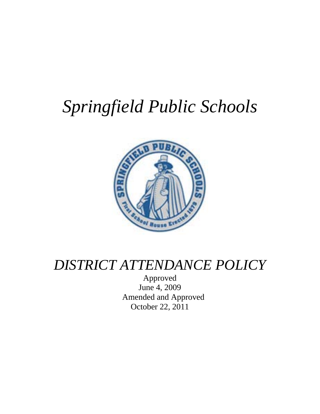# *Springfield Public Schools*



## *DISTRICT ATTENDANCE POLICY*

Approved June 4, 2009 Amended and Approved October 22, 2011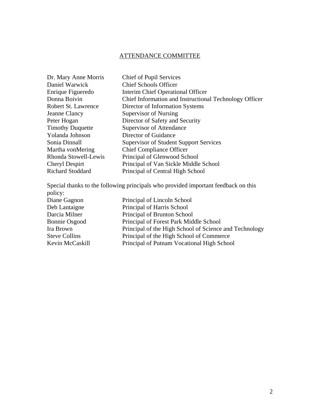## ATTENDANCE COMMITTEE

| Dr. Mary Anne Morris       | <b>Chief of Pupil Services</b>                         |
|----------------------------|--------------------------------------------------------|
| Daniel Warwick             | <b>Chief Schools Officer</b>                           |
| Enrique Figueredo          | Interim Chief Operational Officer                      |
| Donna Boivin               | Chief Information and Instructional Technology Officer |
| <b>Robert St. Lawrence</b> | Director of Information Systems                        |
| Jeanne Clancy              | Supervisor of Nursing                                  |
| Peter Hogan                | Director of Safety and Security                        |
| <b>Timothy Duquette</b>    | Supervisor of Attendance                               |
| Yolanda Johnson            | Director of Guidance                                   |
| Sonia Dinnall              | <b>Supervisor of Student Support Services</b>          |
| Martha vonMering           | <b>Chief Compliance Officer</b>                        |
| Rhonda Stowell-Lewis       | Principal of Glenwood School                           |
| Cheryl Despirt             | Principal of Van Sickle Middle School                  |
| <b>Richard Stoddard</b>    | Principal of Central High School                       |
|                            |                                                        |

Special thanks to the following principals who provided important feedback on this policy:

| Principal of Lincoln School                            |
|--------------------------------------------------------|
| Principal of Harris School                             |
| Principal of Brunton School                            |
| Principal of Forest Park Middle School                 |
| Principal of the High School of Science and Technology |
| Principal of the High School of Commerce               |
| Principal of Putnam Vocational High School             |
|                                                        |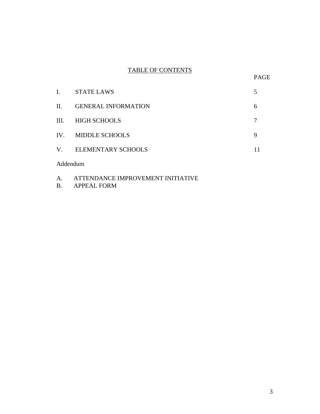## TABLE OF CONTENTS

| $\mathbf{I}$ . | <b>STATE LAWS</b>          |   |
|----------------|----------------------------|---|
| II.            | <b>GENERAL INFORMATION</b> | 6 |
| III.           | <b>HIGH SCHOOLS</b>        |   |
|                | IV. MIDDLE SCHOOLS         | 9 |
|                | V. ELEMENTARY SCHOOLS      |   |
| Addendum       |                            |   |

- A. ATTENDANCE IMPROVEMENT INITIATIVE
- B. APPEAL FORM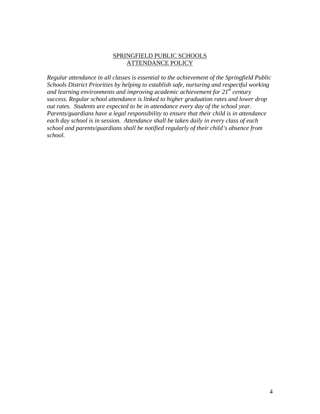#### SPRINGFIELD PUBLIC SCHOOLS ATTENDANCE POLICY

*Regular attendance in all classes is essential to the achievement of the Springfield Public Schools District Priorities by helping to establish safe, nurturing and respectful working and learning environments and improving academic achievement for 21st century success. Regular school attendance is linked to higher graduation rates and lower drop out rates. Students are expected to be in attendance every day of the school year. Parents/guardians have a legal responsibility to ensure that their child is in attendance each day school is in session. Attendance shall be taken daily in every class of each school and parents/guardians shall be notified regularly of their child's absence from school.*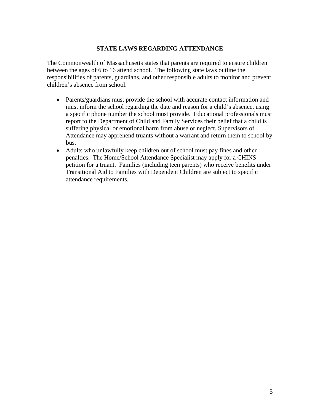#### **STATE LAWS REGARDING ATTENDANCE**

The Commonwealth of Massachusetts states that parents are required to ensure children between the ages of 6 to 16 attend school. The following state laws outline the responsibilities of parents, guardians, and other responsible adults to monitor and prevent children's absence from school.

- Parents/guardians must provide the school with accurate contact information and must inform the school regarding the date and reason for a child's absence, using a specific phone number the school must provide. Educational professionals must report to the Department of Child and Family Services their belief that a child is suffering physical or emotional harm from abuse or neglect. Supervisors of Attendance may apprehend truants without a warrant and return them to school by bus.
- Adults who unlawfully keep children out of school must pay fines and other penalties. The Home/School Attendance Specialist may apply for a CHINS petition for a truant. Families (including teen parents) who receive benefits under Transitional Aid to Families with Dependent Children are subject to specific attendance requirements.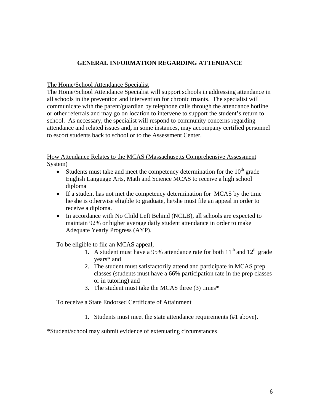#### **GENERAL INFORMATION REGARDING ATTENDANCE**

The Home/School Attendance Specialist

The Home/School Attendance Specialist will support schools in addressing attendance in all schools in the prevention and intervention for chronic truants. The specialist will communicate with the parent/guardian by telephone calls through the attendance hotline or other referrals and may go on location to intervene to support the student's return to school. As necessary, the specialist will respond to community concerns regarding attendance and related issues and**,** in some instances**,** may accompany certified personnel to escort students back to school or to the Assessment Center.

How Attendance Relates to the MCAS (Massachusetts Comprehensive Assessment System)

- Students must take and meet the competency determination for the  $10<sup>th</sup>$  grade English Language Arts, Math and Science MCAS to receive a high school diploma
- If a student has not met the competency determination for MCAS by the time he/she is otherwise eligible to graduate, he/she must file an appeal in order to receive a diploma.
- In accordance with No Child Left Behind (NCLB), all schools are expected to maintain 92% or higher average daily student attendance in order to make Adequate Yearly Progress (AYP).

To be eligible to file an MCAS appeal,

- 1. A student must have a 95% attendance rate for both  $11<sup>th</sup>$  and  $12<sup>th</sup>$  grade years\* and
- 2. The student must satisfactorily attend and participate in MCAS prep classes (students must have a 66% participation rate in the prep classes or in tutoring) and
- 3. The student must take the MCAS three (3) times\*

To receive a State Endorsed Certificate of Attainment

1. Students must meet the state attendance requirements (#1 above**).**

\*Student/school may submit evidence of extenuating circumstances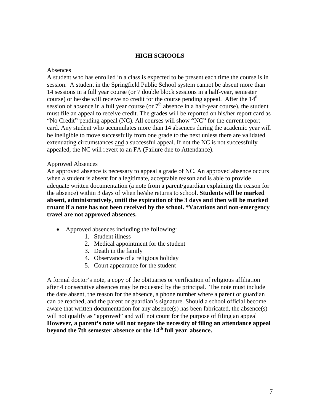#### **HIGH SCHOOLS**

#### Absences

A student who has enrolled in a class is expected to be present each time the course is in session. A student in the Springfield Public School system cannot be absent more than 14 sessions in a full year course (or 7 double block sessions in a half-year, semester course) or he/she will receive no credit for the course pending appeal. After the  $14<sup>th</sup>$ session of absence in a full year course (or  $7<sup>th</sup>$  absence in a half-year course), the student must file an appeal to receive credit. The grade**s** will be reported on his/her report card as "No Credit**"** pending appeal (NC). All courses will show **"**NC**"** for the current report card. Any student who accumulates more than 14 absences during the academic year will be ineligible to move successfully from one grade to the next unless there are validated extenuating circumstances and a successful appeal. If not the NC is not successfully appealed, the NC will revert to an FA (Failure due to Attendance).

#### Approved Absences

An approved absence is necessary to appeal a grade of NC. An approved absence occurs when a student is absent for a legitimate, acceptable reason and is able to provide adequate written documentation (a note from a parent/guardian explaining the reason for the absence) within 3 days of when he**/**she returns to school**. Students will be marked absent, administratively, until the expiration of the 3 days and then will be marked truant if a note has not been received by the school. \*Vacations and non-emergency travel are not approved absences.** 

- Approved absences including the following:
	- 1. Student illness
	- 2. Medical appointment for the student
	- 3. Death in the family
	- 4. Observance of a religious holiday
	- 5. Court appearance for the student

A formal doctor's note, a copy of the obituaries or verification of religious affiliation after 4 consecutive absences may be requested by the principal. The note must include the date absent, the reason for the absence, a phone number where a parent or guardian can be reached, and the parent or guardian's signature. Should a school official become aware that written documentation for any absence(s) has been fabricated, the absence(s) will not qualify as "approved" and will not count for the purpose of filing an appeal **However, a parent's note will not negate the necessity of filing an attendance appeal**  beyond the 7th semester absence or the 14<sup>th</sup> full year absence.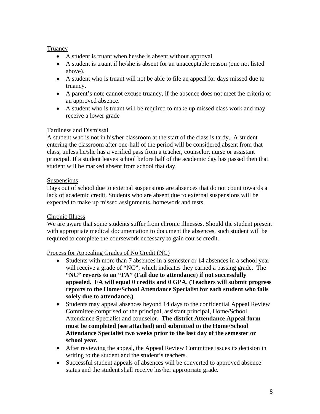#### Truancy

- A student is truant when he/she is absent without approval.
- A student is truant if he/she is absent for an unacceptable reason (one not listed above).
- A student who is truant will not be able to file an appeal for days missed due to truancy.
- A parent's note cannot excuse truancy, if the absence does not meet the criteria of an approved absence.
- A student who is truant will be required to make up missed class work and may receive a lower grade

#### Tardiness and Dismissal

A student who is not in his/her classroom at the start of the class is tardy. A student entering the classroom after one-half of the period will be considered absent from that class, unless he/she has a verified pass from a teacher, counselor, nurse or assistant principal. If a student leaves school before half of the academic day has passed then that student will be marked absent from school that day.

#### **Suspensions**

Days out of school due to external suspensions are absences that do not count towards a lack of academic credit. Students who are absent due to external suspensions will be expected to make up missed assignments, homework and tests.

#### Chronic Illness

We are aware that some students suffer from chronic illnesses. Should the student present with appropriate medical documentation to document the absences, such student will be required to complete the coursework necessary to gain course credit.

#### Process for Appealing Grades of No Credit (NC)

- Students with more than 7 absences in a semester or 14 absences in a school year will receive a grade of **"**NC**"**, which indicates they earned a passing grade. The **"NC" reverts to an "FA" (Fail due to attendance**) **if not successfully appealed. FA will equal 0 credits and 0 GPA**. **(Teachers will submit progress reports to the Home/School Attendance Specialist for each student who fails solely due to attendance.)**
- Students may appeal absences beyond 14 days to the confidential Appeal Review Committee comprised of the principal, assistant principal, Home/School Attendance Specialist and counselor. **The district Attendance Appeal form must be completed (see attached) and submitted to the Home/School Attendance Specialist two weeks prior to the last day of the semester or school year.**
- After reviewing the appeal, the Appeal Review Committee issues its decision in writing to the student and the student's teachers.
- Successful student appeals of absences will be converted to approved absence status and the student shall receive his/her appropriate grade**.**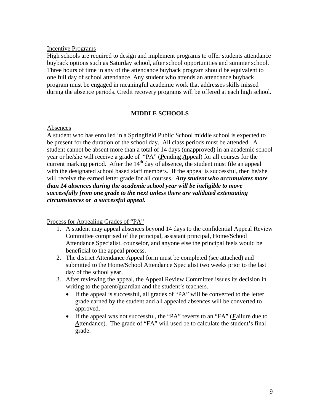#### Incentive Programs

High schools are required to design and implement programs to offer students attendance buyback options such as Saturday school, after school opportunities and summer school. Three hours of time in any of the attendance buyback program should be equivalent to one full day of school attendance. Any student who attends an attendance buyback program must be engaged in meaningful academic work that addresses skills missed during the absence periods. Credit recovery programs will be offered at each high school.

#### **MIDDLE SCHOOLS**

#### Absences

A student who has enrolled in a Springfield Public School middle school is expected to be present for the duration of the school day. All class periods must be attended. A student cannot be absent more than a total of 14 days (unapproved) in an academic school year or he/she will receive a grade of "PA" (*P*ending *A*ppeal) for all courses for the current marking period. After the  $14<sup>th</sup>$  day of absence, the student must file an appeal with the designated school based staff members. If the appeal is successful, then he/she will receive the earned letter grade for all courses. *Any student who accumulates more than 14 absences during the academic school year will be ineligible to move successfully from one grade to the next unless there are validated extenuating circumstances or a successful appeal.* 

Process for Appealing Grades of "PA"

- 1. A student may appeal absences beyond 14 days to the confidential Appeal Review Committee comprised of the principal, assistant principal, Home/School Attendance Specialist, counselor, and anyone else the principal feels would be beneficial to the appeal process.
- 2. The district Attendance Appeal form must be completed (see attached) and submitted to the Home/School Attendance Specialist two weeks prior to the last day of the school year.
- 3. After reviewing the appeal, the Appeal Review Committee issues its decision in writing to the parent/guardian and the student's teachers.
	- If the appeal is successful, all grades of "PA" will be converted to the letter grade earned by the student and all appealed absences will be converted to approved.
	- If the appeal was not successful, the "PA" reverts to an "FA" (*F*ailure due to *A*ttendance). The grade of "FA" will used be to calculate the student's final grade.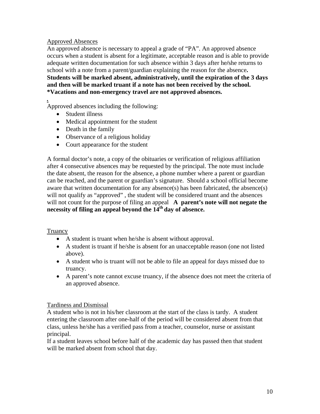#### Approved Absences

An approved absence is necessary to appeal a grade of "PA". An approved absence occurs when a student is absent for a legitimate, acceptable reason and is able to provide adequate written documentation for such absence within 3 days after he**/**she returns to school with a note from a parent/guardian explaining the reason for the absence**. Students will be marked absent, administratively, until the expiration of the 3 days and then will be marked truant if a note has not been received by the school. \*Vacations and non-emergency travel are not approved absences.** 

*.*  Approved absences including the following:

- Student illness
- Medical appointment for the student
- Death in the family
- Observance of a religious holiday
- Court appearance for the student

A formal doctor's note, a copy of the obituaries or verification of religious affiliation after 4 consecutive absences may be requested by the principal. The note must include the date absent, the reason for the absence, a phone number where a parent or guardian can be reached, and the parent or guardian's signature. Should a school official become aware that written documentation for any absence(s) has been fabricated, the absence(s) will not qualify as "approved", the student will be considered truant and the absences will not count for the purpose of filing an appeal **A** parent's note will not negate the **necessity of filing an appeal beyond the 14th day of absence.** 

#### Truancy

- A student is truant when he/she is absent without approval.
- A student is truant if he/she is absent for an unacceptable reason (one not listed above).
- A student who is truant will not be able to file an appeal for days missed due to truancy.
- A parent's note cannot excuse truancy, if the absence does not meet the criteria of an approved absence.

#### Tardiness and Dismissal

A student who is not in his/her classroom at the start of the class is tardy. A student entering the classroom after one-half of the period will be considered absent from that class, unless he/she has a verified pass from a teacher, counselor, nurse or assistant principal.

If a student leaves school before half of the academic day has passed then that student will be marked absent from school that day.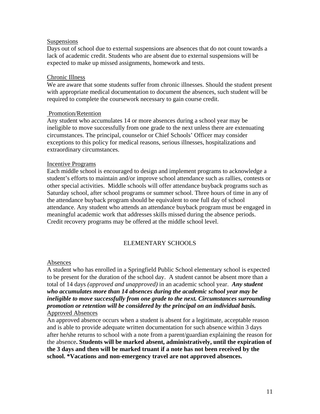#### Suspensions

Days out of school due to external suspensions are absences that do not count towards a lack of academic credit. Students who are absent due to external suspensions will be expected to make up missed assignments, homework and tests.

#### Chronic Illness

We are aware that some students suffer from chronic illnesses. Should the student present with appropriate medical documentation to document the absences, such student will be required to complete the coursework necessary to gain course credit.

#### Promotion/Retention

Any student who accumulates 14 or more absences during a school year may be ineligible to move successfully from one grade to the next unless there are extenuating circumstances. The principal, counselor or Chief Schools' Officer may consider exceptions to this policy for medical reasons, serious illnesses, hospitalizations and extraordinary circumstances.

#### Incentive Programs

Each middle school is encouraged to design and implement programs to acknowledge a student's efforts to maintain and/or improve school attendance such as rallies, contests or other special activities. Middle schools will offer attendance buyback programs such as Saturday school, after school programs or summer school. Three hours of time in any of the attendance buyback program should be equivalent to one full day of school attendance. Any student who attends an attendance buyback program must be engaged in meaningful academic work that addresses skills missed during the absence periods. Credit recovery programs may be offered at the middle school level.

#### ELEMENTARY SCHOOLS

#### Absences

A student who has enrolled in a Springfield Public School elementary school is expected to be present for the duration of the school day. A student cannot be absent more than a total of 14 days *(approved and unapproved)* in an academic school year. *Any student who accumulates more than 14 absences during the academic school year may be ineligible to move successfully from one grade to the next. Circumstances surrounding promotion or retention will be considered by the principal on an individual basis.*  Approved Absences

An approved absence occurs when a student is absent for a legitimate, acceptable reason and is able to provide adequate written documentation for such absence within 3 days after he**/**she returns to school with a note from a parent/guardian explaining the reason for the absence**. Students will be marked absent, administratively, until the expiration of the 3 days and then will be marked truant if a note has not been received by the school. \*Vacations and non-emergency travel are not approved absences.**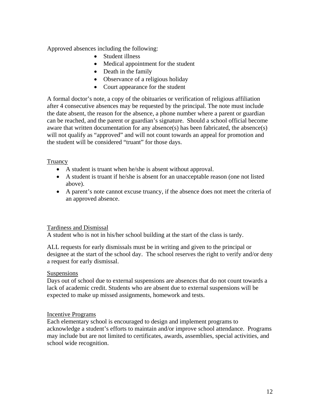Approved absences including the following:

- Student illness
- Medical appointment for the student
- Death in the family
- Observance of a religious holiday
- Court appearance for the student

A formal doctor's note, a copy of the obituaries or verification of religious affiliation after 4 consecutive absences may be requested by the principal. The note must include the date absent, the reason for the absence, a phone number where a parent or guardian can be reached, and the parent or guardian's signature. Should a school official become aware that written documentation for any absence(s) has been fabricated, the absence(s) will not qualify as "approved" and will not count towards an appeal for promotion and the student will be considered "truant" for those days.

#### Truancy

- A student is truant when he/she is absent without approval.
- A student is truant if he/she is absent for an unacceptable reason (one not listed above).
- A parent's note cannot excuse truancy, if the absence does not meet the criteria of an approved absence.

#### Tardiness and Dismissal

A student who is not in his/her school building at the start of the class is tardy.

ALL requests for early dismissals must be in writing and given to the principal or designee at the start of the school day. The school reserves the right to verify and/or deny a request for early dismissal.

#### Suspensions

Days out of school due to external suspensions are absences that do not count towards a lack of academic credit. Students who are absent due to external suspensions will be expected to make up missed assignments, homework and tests.

#### Incentive Programs

Each elementary school is encouraged to design and implement programs to acknowledge a student's efforts to maintain and/or improve school attendance. Programs may include but are not limited to certificates, awards, assemblies, special activities, and school wide recognition.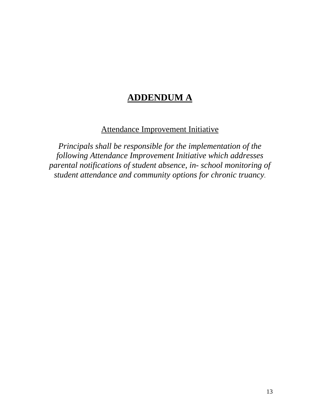## **ADDENDUM A**

## Attendance Improvement Initiative

*Principals shall be responsible for the implementation of the following Attendance Improvement Initiative which addresses parental notifications of student absence, in- school monitoring of student attendance and community options for chronic truancy*.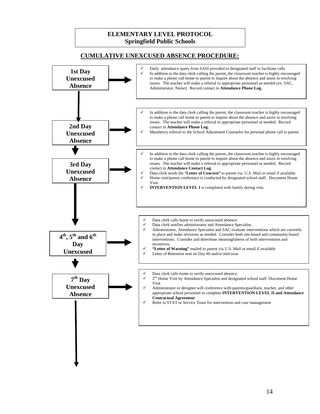#### **CUMULATIVE UNEXCUSED ABSENCE PROCEDURE:**  L **ELEMENTARY LEVEL PROTOCOL Springfield Public Schools 1st Day Unexcused Absence** Daily attendance query from SASI provided to designated staff to facilitate calls In addition to the data clerk calling the parent, the classroom teacher is highly encouraged to make a phone call home to parent to inquire about the absence and assist in resolving issues. The teacher will make a referral to appropriate personnel as needed (ex. SAC, Administrator, Nurse). Record contact in **Attendance Phone Log. 2nd Day Unexcused Absence** In addition to the data clerk calling the parent, the classroom teacher is highly encouraged to make a phone call home to parent to inquire about the absence and assist in resolving issues. The teacher will make a referral to appropriate personnel as needed. Record contact in **Attendance Phone Log.** Mandatory referral to the School Adjustment Counselor for personal phone call to parent. **3rd Day Unexcused Absence** In addition to the data clerk calling the parent, the classroom teacher is highly encouraged to make a phone call home to parent to inquire about the absence and assist in resolving issues. The teacher will make a referral to appropriate personnel as needed. Record contact in **Attendance Contact Log.** Data clerk sends the "**Letter of Concern"** to parent via U.S. Mail or email if available Home visit/parent conference is conducted by designated school staff. Document Home Visit. **INTERVENTION LEVEL I** is completed with family during visit. **4th, 5th and 6th Day Unexcused** Data clerk calls home to verify unexcused absence. Data clerk notifies administrator and Attendance Specialist. Administrator, Attendance Specialist and SAC evaluate interventions which are currently in place and make revisions as needed. Consider both site-based and community-based interventions. Consider and determine meaningfulness of both interventions and incentives. **"Letter of Warning"** mailed to parent via U.S. Mail or email if available Letter of Retention sent on Day #6 and/or mid-year. Data clerk calls home to verify unexcused absence.  $\checkmark$  2<sup>nd</sup> Home Visit by Attendance Specialist and designated school staff. Document Home Visit Administrator or designee will conference with parents/guardians, teacher, and other appropriate school personnel to complete **INTERVENTION LEVEL II and Attendance Contractual Agreement**  Refer to STAT or Service Team for intervention and case management **7th Day Unexcused Absence**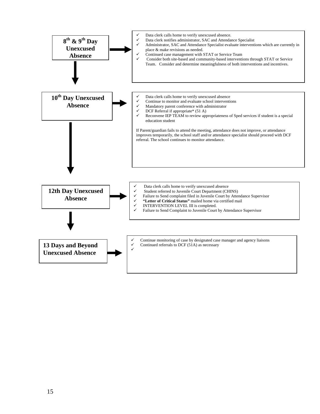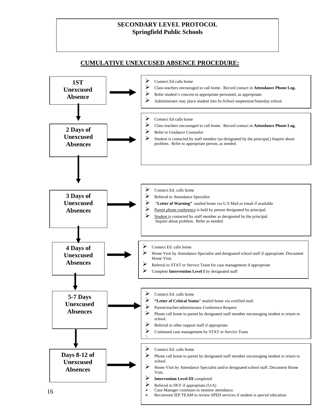#### **SECONDARY LEVEL PROTOCOL Springfield Public Schools**

#### **CUMULATIVE UNEXCUSED ABSENCE PROCEDURE:**

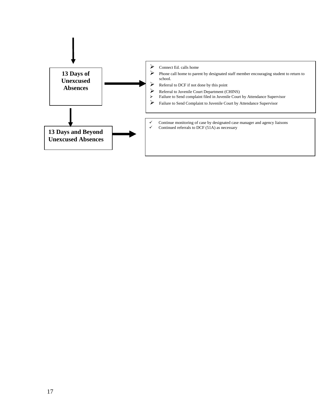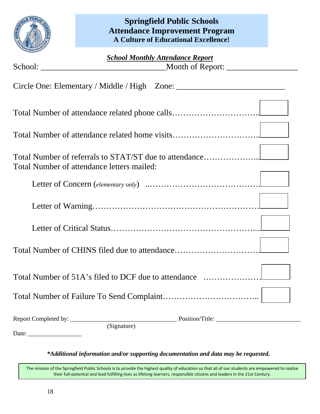![](_page_17_Picture_0.jpeg)

| <b>School Monthly Attendance Report</b>      |  |
|----------------------------------------------|--|
|                                              |  |
| Circle One: Elementary / Middle / High Zone: |  |
|                                              |  |
|                                              |  |
| Total Number of attendance letters mailed:   |  |
|                                              |  |
|                                              |  |
|                                              |  |
|                                              |  |
|                                              |  |
|                                              |  |
|                                              |  |

*\*Additional information and/or supporting documentation and data may be requested.* 

The mission of the Springfield Public Schools is to provide the highest quality of education so that all of our students are empowered to realize their full‐potential and lead fulfilling lives as lifelong learners, responsible citizens and leaders in the 21st Century.

l,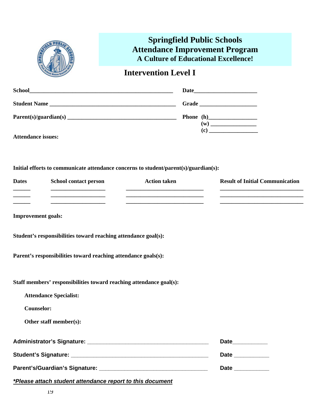![](_page_18_Picture_0.jpeg)

## **Intervention Level I**

| Parent(s)/quardian(s)     | $(\mathbf{w})$<br><u> 1989 - Johann Barbara, martin eta politika</u> r<br>(c) |
|---------------------------|-------------------------------------------------------------------------------|
| <b>Attendance issues:</b> |                                                                               |

**Initial efforts to communicate attendance concerns to student/parent(s)/guardian(s):**

| <b>Dates</b> | <b>School contact person</b> | <b>Action taken</b> | <b>Result of Initial Communication</b> |
|--------------|------------------------------|---------------------|----------------------------------------|
|              |                              |                     |                                        |
|              |                              |                     |                                        |
|              |                              |                     |                                        |

**Improvement goals:** 

**Student's responsibilities toward reaching attendance goal(s):** 

**Parent's responsibilities toward reaching attendance goals(s):** 

**Staff members' responsibilities toward reaching attendance goal(s):** 

**Attendance Specialist:** 

**Counselor:** 

**Other staff member(s):** 

| Administrator's Signature: Management of Administrator's Signature: | <b>Date</b> |
|---------------------------------------------------------------------|-------------|
| Student's Signature:                                                | <b>Date</b> |
|                                                                     | <b>Date</b> |
|                                                                     |             |

*\*Please attach student attendance report to this document*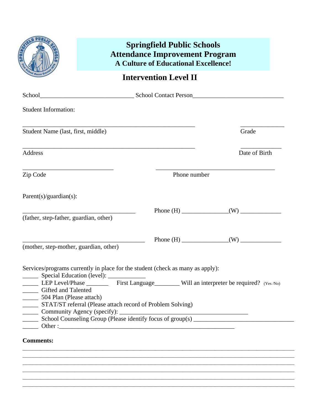| <b>CITERIS</b>                                  | <b>Springfield Public Schools</b><br><b>Attendance Improvement Program</b><br><b>A Culture of Educational Excellence!</b>                                        |               |
|-------------------------------------------------|------------------------------------------------------------------------------------------------------------------------------------------------------------------|---------------|
|                                                 | <b>Intervention Level II</b>                                                                                                                                     |               |
|                                                 |                                                                                                                                                                  |               |
| <b>Student Information:</b>                     |                                                                                                                                                                  |               |
| Student Name (last, first, middle)              |                                                                                                                                                                  | Grade         |
| Address                                         |                                                                                                                                                                  | Date of Birth |
| Zip Code                                        |                                                                                                                                                                  | Phone number  |
| $Parent(s)/guardian(s)$ :                       |                                                                                                                                                                  |               |
|                                                 |                                                                                                                                                                  |               |
|                                                 |                                                                                                                                                                  |               |
| (father, step-father, guardian, other)          |                                                                                                                                                                  |               |
| (mother, step-mother, guardian, other)          |                                                                                                                                                                  |               |
|                                                 | Services/programs currently in place for the student (check as many as apply):<br>_________ Special Education (level): _______________                           |               |
| Gifted and Talented<br>504 Plan (Please attach) | LEP Level/Phase _________ First Language_________ Will an interpreter be required? (Yes /No)<br>_____ STAT/ST referral (Please attach record of Problem Solving) |               |

**\_\_\_\_\_\_\_\_\_\_\_\_\_\_\_\_\_\_\_\_\_\_\_\_\_\_\_\_\_\_\_\_\_\_\_\_\_\_\_\_\_\_\_\_\_\_\_\_\_\_\_\_\_\_\_\_\_\_\_\_\_\_\_\_\_\_\_\_\_\_\_\_\_\_\_\_\_\_ \_\_\_\_\_\_\_\_\_\_\_\_\_\_\_\_\_\_\_\_\_\_\_\_\_\_\_\_\_\_\_\_\_\_\_\_\_\_\_\_\_\_\_\_\_\_\_\_\_\_\_\_\_\_\_\_\_\_\_\_\_\_\_\_\_\_\_\_\_\_\_\_\_\_\_\_\_\_ \_\_\_\_\_\_\_\_\_\_\_\_\_\_\_\_\_\_\_\_\_\_\_\_\_\_\_\_\_\_\_\_\_\_\_\_\_\_\_\_\_\_\_\_\_\_\_\_\_\_\_\_\_\_\_\_\_\_\_\_\_\_\_\_\_\_\_\_\_\_\_\_\_\_\_\_\_\_ \_\_\_\_\_\_\_\_\_\_\_\_\_\_\_\_\_\_\_\_\_\_\_\_\_\_\_\_\_\_\_\_\_\_\_\_\_\_\_\_\_\_\_\_\_\_\_\_\_\_\_\_\_\_\_\_\_\_\_\_\_\_\_\_\_\_\_\_\_\_\_\_\_\_\_\_\_\_ \_\_\_\_\_\_\_\_\_\_\_\_\_\_\_\_\_\_\_\_\_\_\_\_\_\_\_\_\_\_\_\_\_\_\_\_\_\_\_\_\_\_\_\_\_\_\_\_\_\_\_\_\_\_\_\_\_\_\_\_\_\_\_\_\_\_\_\_\_\_\_\_\_\_\_\_\_\_ \_\_\_\_\_\_\_\_\_\_\_\_\_\_\_\_\_\_\_\_\_\_\_\_\_\_\_\_\_\_\_\_\_\_\_\_\_\_\_\_\_\_\_\_\_\_\_\_\_\_\_\_\_\_\_\_\_\_\_\_\_\_\_\_\_\_\_\_\_\_\_\_\_\_\_\_\_\_**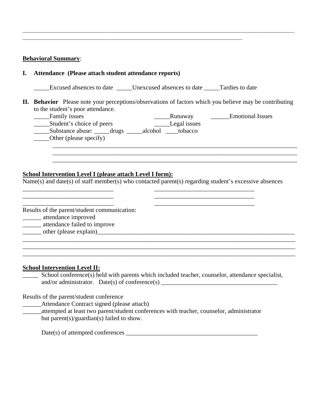#### **Behavioral Summary**:

#### **I. Attendance (Please attach student attendance reports)**

\_\_\_\_\_Excused absences to date \_\_\_\_\_Unexcused absences to date \_\_\_\_\_Tardies to date

**\_\_\_\_\_\_\_\_\_\_\_\_\_\_\_\_\_\_\_\_\_\_\_\_\_\_\_\_\_\_\_\_\_\_\_\_\_\_\_\_\_\_\_\_\_\_\_\_\_\_\_\_\_\_\_\_\_\_\_\_\_\_\_** 

**II. Behavior** Please note your perceptions/observations of factors which you believe may be contributing to the student's poor attendance.

> \_\_\_\_\_\_\_\_\_\_\_\_\_\_\_\_\_\_\_\_\_\_\_\_\_\_\_\_\_\_\_\_\_\_\_\_\_\_\_\_\_\_\_\_\_\_\_\_\_\_\_\_\_\_\_\_\_\_\_\_\_\_\_\_\_\_\_\_\_\_\_\_\_\_\_\_\_\_ \_\_\_\_\_\_\_\_\_\_\_\_\_\_\_\_\_\_\_\_\_\_\_\_\_\_\_\_\_\_\_\_\_\_\_\_\_\_\_\_\_\_\_\_\_\_\_\_\_\_\_\_\_\_\_\_\_\_\_\_\_\_\_\_\_\_\_\_\_\_\_\_\_\_\_\_\_\_

\_\_\_\_\_\_\_\_\_\_\_\_\_\_\_\_\_\_\_\_\_\_\_\_\_\_\_\_\_\_\_\_\_\_\_\_\_\_\_\_\_\_\_\_\_\_\_\_\_\_\_\_\_\_\_\_\_\_\_\_\_\_\_\_\_\_\_\_\_\_\_\_\_\_\_\_\_\_

**\_\_\_\_\_\_\_\_\_\_\_\_\_\_\_\_\_\_\_\_\_\_\_\_\_\_\_\_\_\_\_\_\_\_\_\_\_\_\_\_\_\_\_\_\_\_\_\_\_\_\_\_\_\_\_\_\_\_\_\_\_\_\_\_\_\_\_\_\_\_\_\_\_\_\_\_\_\_**

\_\_\_\_\_Family issues \_\_\_\_\_Runaway \_\_\_\_\_\_Emotional Issues

\_\_\_\_\_Student's choice of peers \_\_\_\_\_Legal issues \_\_\_\_\_Substance abuse: \_\_\_\_\_drugs \_\_\_\_\_alcohol \_\_\_\_tobacco

\_\_\_\_\_Other (please specify)

#### **School Intervention Level I (please attach Level I form):**

Name(s) and date(s) of staff member(s) who contacted parent(s) regarding student's excessive absences

\_\_\_\_\_\_\_\_\_\_\_\_\_\_\_\_\_\_\_\_\_\_\_\_\_\_\_\_\_ \_\_\_\_\_\_\_\_\_\_\_\_\_\_\_\_\_\_\_\_\_\_\_\_\_\_\_\_\_\_\_\_

\_\_\_\_\_\_\_\_\_\_\_\_\_\_\_\_\_\_\_\_\_\_\_\_\_\_\_\_\_ \_\_\_\_\_\_\_\_\_\_\_\_\_\_\_\_\_\_\_\_\_\_\_\_\_\_\_\_\_\_\_\_

Results of the parent/student communication:

\_\_\_\_\_\_ attendance improved

\_\_\_\_\_\_ attendance failed to improve

\_\_\_\_\_\_ other (please explain)\_\_\_\_\_\_\_\_\_\_\_\_\_\_\_\_\_\_\_\_\_\_\_\_\_\_\_\_\_\_\_\_\_\_\_\_\_\_\_\_\_\_\_\_\_\_\_\_\_\_\_\_\_\_\_\_\_\_\_\_\_\_\_

#### **School Intervention Level II:**

School conference(s) held with parents which included teacher, counselor, attendance specialist, and/or administrator. Date(s) of conference(s)

\_\_\_\_\_\_\_\_\_\_\_\_\_\_\_\_\_\_\_\_\_\_\_\_\_\_\_\_\_\_\_\_\_\_\_\_\_\_\_\_\_\_\_\_\_\_\_\_\_\_\_\_\_\_\_\_\_\_\_\_\_\_\_\_\_\_\_\_\_\_\_\_\_\_\_\_\_\_\_\_\_\_\_\_\_\_\_ \_\_\_\_\_\_\_\_\_\_\_\_\_\_\_\_\_\_\_\_\_\_\_\_\_\_\_\_\_\_\_\_\_\_\_\_\_\_\_\_\_\_\_\_\_\_\_\_\_\_\_\_\_\_\_\_\_\_\_\_\_\_\_\_\_\_\_\_\_\_\_\_\_\_\_\_\_\_\_\_\_\_\_\_\_\_\_ \_\_\_\_\_\_\_\_\_\_\_\_\_\_\_\_\_\_\_\_\_\_\_\_\_\_\_\_\_\_\_\_\_\_\_\_\_\_\_\_\_\_\_\_\_\_\_\_\_\_\_\_\_\_\_\_\_\_\_\_\_\_\_\_\_\_\_\_\_\_\_\_\_\_\_\_\_\_\_\_\_\_\_\_\_\_\_

#### Results of the parent/student conference

\_\_\_\_\_\_Attendance Contract signed (please attach)

\_\_\_\_\_\_attempted at least two parent/student conferences with teacher, counselor, administrator but parent(s)/guardian(s) failed to show.

Date(s) of attempted conferences \_\_\_\_\_\_\_\_\_\_\_\_\_\_\_\_\_\_\_\_\_\_\_\_\_\_\_\_\_\_\_\_\_\_\_\_\_\_\_\_\_\_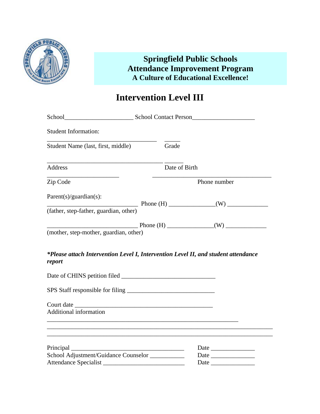![](_page_21_Picture_0.jpeg)

## **Intervention Level III**

| <b>Student Information:</b>                                                                                                            |               |                                                   |
|----------------------------------------------------------------------------------------------------------------------------------------|---------------|---------------------------------------------------|
| Student Name (last, first, middle)                                                                                                     | Grade         |                                                   |
| Address                                                                                                                                | Date of Birth |                                                   |
| Zip Code                                                                                                                               |               | Phone number                                      |
| $Parent(s)/guardian(s)$ :<br>(father, step-father, guardian, other)                                                                    |               | $\longrightarrow$ Phone (H) $\longrightarrow$ (W) |
| (mother, step-mother, guardian, other)<br>*Please attach Intervention Level I, Intervention Level II, and student attendance<br>report |               |                                                   |
|                                                                                                                                        |               |                                                   |
|                                                                                                                                        |               |                                                   |
| <b>Additional information</b>                                                                                                          |               |                                                   |
|                                                                                                                                        |               |                                                   |
|                                                                                                                                        |               |                                                   |
| School Adjustment/Guidance Counselor __________                                                                                        |               |                                                   |
| Attendance Specialist                                                                                                                  |               |                                                   |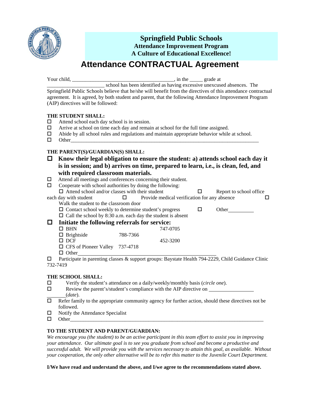![](_page_22_Picture_0.jpeg)

## **Attendance CONTRACTUAL Agreement**

Your child, \_\_\_\_\_\_\_\_\_\_\_\_\_\_\_\_\_\_\_\_\_\_\_\_\_\_\_\_\_\_\_\_\_\_\_\_\_\_\_, in the \_\_\_\_\_ grade at

\_\_\_\_\_\_\_\_\_\_\_\_\_\_\_\_\_\_\_\_\_\_ school has been identified as having excessive unexcused absences. The Springfield Public Schools believe that he/she will benefit from the directives of this attendance contractual agreement. It is agreed, by both student and parent, that the following Attendance Improvement Program (AIP) directives will be followed:

#### **THE STUDENT SHALL:**

- $\Box$  Attend school each day school is in session.
- $\Box$  Arrive at school on time each day and remain at school for the full time assigned.
- $\Box$  Abide by all school rules and regulations and maintain appropriate behavior while at school.
- $\Box$  Other

#### **THE PARENT(S)/GUARDIAN(S) SHALL:**

 **Know their legal obligation to ensure the student: a) attends school each day it is in session; and b) arrives on time, prepared to learn, i.e., is clean, fed, and with required classroom materials.** 

- Attend all meetings and conferences concerning their student.
- $\Box$  Cooperate with school authorities by doing the following:

| $\Box$ Attend school and/or classes with their student       |                                                                    | Report to school office |  |
|--------------------------------------------------------------|--------------------------------------------------------------------|-------------------------|--|
| each day with student                                        | Provide medical verification for any absence                       |                         |  |
| Walk the student to the classroom door                       |                                                                    |                         |  |
| $\Box$ Contact school weekly to determine student's progress |                                                                    | Other                   |  |
|                                                              | $\Box$ Call the school by 8:30 a.m. each day the student is absent |                         |  |

#### **Initiate the following referrals for service:**

| mulate the following referrats for service. |          |          |
|---------------------------------------------|----------|----------|
| $\Box$ BHN                                  |          | 747-0705 |
| $\Box$ Brightside                           | 788-7366 |          |
| $\Box$ DCF                                  |          | 452-3200 |
| $\Box$ CFS of Pioneer Valley 737-4718       |          |          |
| $\Box$ Other                                |          |          |

□ Participate in parenting classes & support groups: Baystate Health 794-2229, Child Guidance Clinic 732-7419

#### **THE SCHOOL SHALL:**

- Verify the student's attendance on a daily/weekly/monthly basis (*circle one*).
- $\Box$  Review the parent's/student's compliance with the AIP directive on
- (*date*).<br>□ Refer fami
- Refer family to the appropriate community agency for further action, should these directives not be followed.
- $\Box$  Notify the Attendance Specialist
- $\Box$  Other

#### **TO THE STUDENT AND PARENT/GUARDIAN:**

*We encourage you (the student) to be an active participant in this team effort to assist you in improving your attendance. Our ultimate goal is to see you graduate from school and become a productive and successful adult. We will provide you with the services necessary to attain this goal, as available. Without your cooperation, the only other alternative will be to refer this matter to the Juvenile Court Department.* 

**I/We have read and understand the above, and I/we agree to the recommendations stated above.**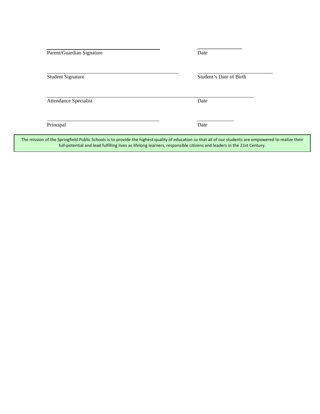| Parent/Guardian Signature    | Date                    |
|------------------------------|-------------------------|
| <b>Student Signature</b>     | Student's Date of Birth |
| <b>Attendance Specialist</b> | Date                    |
| Principal                    | Date                    |

full‐potential and lead fulfilling lives as lifelong learners, responsible citizens and leaders in the 21st Century.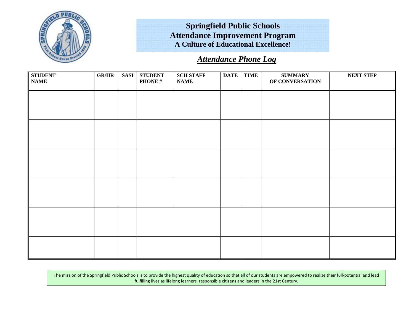![](_page_24_Picture_0.jpeg)

## *Attendance Phone Log*

| <b>STUDENT</b><br><b>NAME</b> | <b>GR/HR</b> | <b>SASI</b> | <b>STUDENT</b><br><b>PHONE#</b> | <b>SCH STAFF</b><br><b>NAME</b> | <b>DATE</b> | <b>TIME</b> | <b>SUMMARY</b><br>OF CONVERSATION | <b>NEXT STEP</b> |
|-------------------------------|--------------|-------------|---------------------------------|---------------------------------|-------------|-------------|-----------------------------------|------------------|
|                               |              |             |                                 |                                 |             |             |                                   |                  |
|                               |              |             |                                 |                                 |             |             |                                   |                  |
|                               |              |             |                                 |                                 |             |             |                                   |                  |
|                               |              |             |                                 |                                 |             |             |                                   |                  |
|                               |              |             |                                 |                                 |             |             |                                   |                  |
|                               |              |             |                                 |                                 |             |             |                                   |                  |
|                               |              |             |                                 |                                 |             |             |                                   |                  |
|                               |              |             |                                 |                                 |             |             |                                   |                  |
|                               |              |             |                                 |                                 |             |             |                                   |                  |
|                               |              |             |                                 |                                 |             |             |                                   |                  |
|                               |              |             |                                 |                                 |             |             |                                   |                  |
|                               |              |             |                                 |                                 |             |             |                                   |                  |

The mission of the Springfield Public Schools is to provide the highest quality of education so that all of our students are empowered to realize their full-potential and lead fulfilling lives as lifelong learners, responsible citizens and leaders in the 21st Century.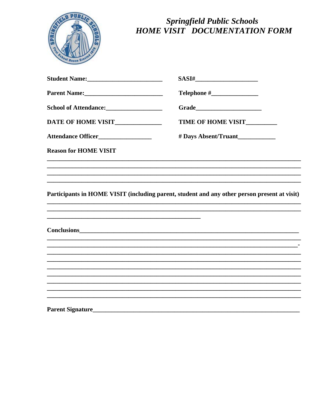![](_page_25_Picture_0.jpeg)

# Springfield Public Schools<br>HOME VISIT DOCUMENTATION FORM

| Parent Name: 1988                |                                                                                                                  |
|----------------------------------|------------------------------------------------------------------------------------------------------------------|
|                                  |                                                                                                                  |
| DATE OF HOME VISIT______________ | TIME OF HOME VISIT                                                                                               |
|                                  |                                                                                                                  |
| <b>Reason for HOME VISIT</b>     |                                                                                                                  |
|                                  | and the control of the control of the control of the control of the control of the control of the control of the |
|                                  |                                                                                                                  |
|                                  | Participants in HOME VISIT (including parent, student and any other person present at visit)                     |
|                                  |                                                                                                                  |
|                                  |                                                                                                                  |
|                                  |                                                                                                                  |
|                                  |                                                                                                                  |
|                                  |                                                                                                                  |
|                                  |                                                                                                                  |
|                                  |                                                                                                                  |
|                                  |                                                                                                                  |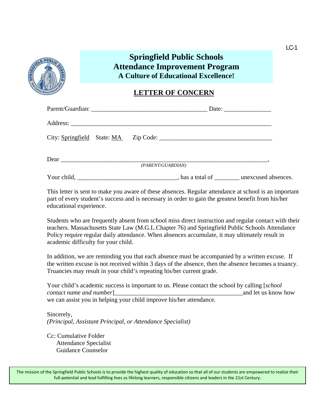![](_page_26_Picture_0.jpeg)

#### **LETTER OF CONCERN**

|                                                                                                                                      | (PARENT/GUARDIAN)                                       |  |
|--------------------------------------------------------------------------------------------------------------------------------------|---------------------------------------------------------|--|
| Your child,<br><u> 1989 - Johann Harry Harry Harry Harry Harry Harry Harry Harry Harry Harry Harry Harry Harry Harry Harry Harry</u> | has a total of <u>equilibrative</u> unexcused absences. |  |

This letter is sent to make you aware of these absences. Regular attendance at school is an important part of every student's success and is necessary in order to gain the greatest benefit from his/her educational experience.

Students who are frequently absent from school miss direct instruction and regular contact with their teachers. Massachusetts State Law (M.G.L.Chapter 76) and Springfield Public Schools Attendance Policy require regular daily attendance. When absences accumulate, it may ultimately result in academic difficulty for your child.

In addition, we are reminding you that each absence must be accompanied by a written excuse. If the written excuse is not received within 3 days of the absence, then the absence becomes a truancy. Truancies may result in your child's repeating his/her current grade.

Your child's academic success is important to us. Please contact the school by calling [*school contact name and number*] example  $\Box$ we can assist you in helping your child improve his/her attendance.

Sincerely, *(Principal, Assistant Principal, or Attendance Specialist)* 

Cc: Cumulative Folder Attendance Specialist Guidance Counselor

The mission of the Springfield Public Schools is to provide the highest quality of education so that all of our students are empowered to realize their full‐potential and lead fulfilling lives as lifelong learners, responsible citizens and leaders in the 21st Century.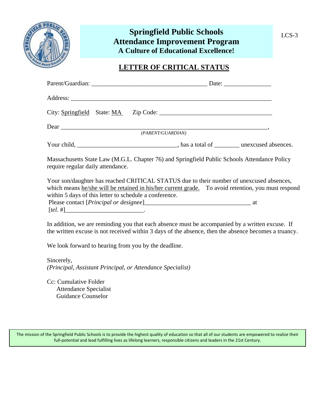![](_page_27_Picture_0.jpeg)

## **LETTER OF CRITICAL STATUS**

| Dear (PARENT/GUARDIAN)                                                                                                                                                                                                                                   |  |  |
|----------------------------------------------------------------------------------------------------------------------------------------------------------------------------------------------------------------------------------------------------------|--|--|
|                                                                                                                                                                                                                                                          |  |  |
|                                                                                                                                                                                                                                                          |  |  |
| Massachusetts State Law (M.G.L. Chapter 76) and Springfield Public Schools Attendance Policy<br>require regular daily attendance.                                                                                                                        |  |  |
| Your son/daughter has reached CRITICAL STATUS due to their number of unexcused absences,<br>which means he/she will be retained in his/her current grade. To avoid retention, you must respond<br>within 5 days of this letter to schedule a conference. |  |  |
|                                                                                                                                                                                                                                                          |  |  |
|                                                                                                                                                                                                                                                          |  |  |
| In addition, we are reminding you that each absence must be accompanied by a written excuse. If<br>the written excuse is not received within 3 days of the absence, then the absence becomes a truancy.                                                  |  |  |
| We look forward to hearing from you by the deadline.                                                                                                                                                                                                     |  |  |
| Sincerely,                                                                                                                                                                                                                                               |  |  |
| (Principal, Assistant Principal, or Attendance Specialist)                                                                                                                                                                                               |  |  |

Cc: Cumulative Folder Attendance Specialist Guidance Counselor

The mission of the Springfield Public Schools is to provide the highest quality of education so that all of our students are empowered to realize their full-potential and lead fulfilling lives as lifelong learners, responsible citizens and leaders in the 21st Century.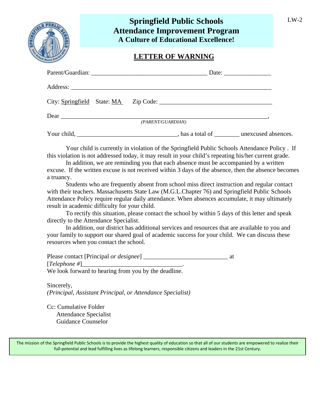|          | <b>Springfield Public Schools</b><br><b>Attendance Improvement Program</b><br><b>A Culture of Educational Excellence!</b> | $LW-2$ |
|----------|---------------------------------------------------------------------------------------------------------------------------|--------|
|          | <b>LETTER OF WARNING</b>                                                                                                  |        |
|          | Parent/Guardian: New York 1988<br>Date:                                                                                   |        |
| Address: |                                                                                                                           |        |

| Dear |                   |  |
|------|-------------------|--|
|      | (PARENT/GUARDIAN) |  |

Your child, \_\_\_\_\_\_\_\_\_\_\_\_\_\_\_\_\_\_\_\_\_\_\_\_\_\_\_\_\_\_\_\_\_, has a total of \_\_\_\_\_\_\_\_\_ unexcused absences.

Your child is currently in violation of the Springfield Public Schools Attendance Policy . If this violation is not addressed today, it may result in your child's repeating his/her current grade.

In addition, we are reminding you that each absence must be accompanied by a written excuse. If the written excuse is not received within 3 days of the absence, then the absence becomes a truancy.

Students who are frequently absent from school miss direct instruction and regular contact with their teachers. Massachusetts State Law (M.G.L.Chapter 76) and Springfield Public Schools Attendance Policy require regular daily attendance. When absences accumulate, it may ultimately result in academic difficulty for your child.

To rectify this situation, please contact the school by within 5 days of this letter and speak directly to the Attendance Specialist.

In addition, our district has additional services and resources that are available to you and your family to support our shared goal of academic success for your child. We can discuss these resources when you contact the school.

Please contact [Principal *or designee*] \_\_\_\_\_\_\_\_\_\_\_\_\_\_\_\_\_\_\_\_\_\_\_\_\_\_\_\_\_\_\_\_\_ at  $[Telephone\#]$ We look forward to hearing from you by the deadline.

Sincerely,

*(Principal, Assistant Principal, or Attendance Specialist)* 

Cc: Cumulative Folder Attendance Specialist Guidance Counselor

The mission of the Springfield Public Schools is to provide the highest quality of education so that all of our students are empowered to realize their full-potential and lead fulfilling lives as lifelong learners, responsible citizens and leaders in the 21st Century.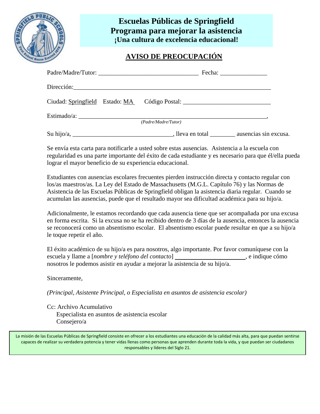![](_page_29_Picture_0.jpeg)

## **Escuelas Públicas de Springfield Programa para mejorar la asistencia ¡Una cultura de excelencia educacional!**

## **AVISO DE PREOCUPACIÓN**

|  |                                                                                  | Fecha: $\frac{1}{\sqrt{1-\frac{1}{2}} \cdot \frac{1}{2}}$ |
|--|----------------------------------------------------------------------------------|-----------------------------------------------------------|
|  | Dirección:                                                                       |                                                           |
|  | Ciudad: Springfield Estado: MA Código Postal: __________________________________ |                                                           |
|  | (Padre/Madre/Tutor)                                                              |                                                           |
|  |                                                                                  | ausencias sin excusa.                                     |

Se envía esta carta para notificarle a usted sobre estas ausencias. Asistencia a la escuela con regularidad es una parte importante del éxito de cada estudiante y es necesario para que él/ella pueda lograr el mayor beneficio de su experiencia educacional.

Estudiantes con ausencias escolares frecuentes pierden instrucción directa y contacto regular con los/as maestros/as. La Ley del Estado de Massachusetts (M.G.L. Capítulo 76) y las Normas de Asistencia de las Escuelas Públicas de Springfield obligan la asistencia diaria regular. Cuando se acumulan las ausencias, puede que el resultado mayor sea dificultad académica para su hijo/a.

Adicionalmente, le estamos recordando que cada ausencia tiene que ser acompañada por una excusa en forma escrita. Si la excusa no se ha recibido dentro de 3 días de la ausencia, entonces la ausencia se reconocerá como un absentismo escolar. El absentismo escolar puede resultar en que a su hijo/a le toque repetir el año.

El éxito académico de su hijo/a es para nosotros, algo importante. Por favor comuníquese con la escuela y llame a [*nombre y teléfono del contacto*] , e indique cómo nosotros le podemos asistir en ayudar a mejorar la asistencia de su hijo/a.

Sinceramente,

*(Principal, Asistente Principal, o Especialista en asuntos de asistencia escolar)* 

Cc: Archivo Acumulativo Especialista en asuntos de asistencia escolar Consejero/a

La misión de las Escuelas Públicas de Springfield consiste en ofrecer a los estudiantes una educación de la calidad más alta, para que puedan sentirse capaces de realizar su verdadera potencia y tener vidas llenas como personas que aprenden durante toda la vida, y que puedan ser ciudadanos responsables y líderes del Siglo 21.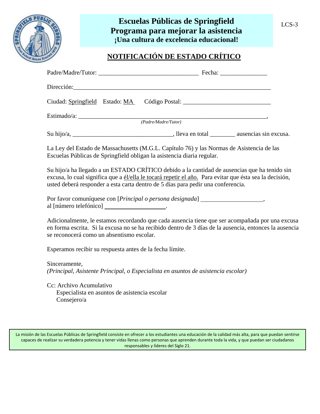![](_page_30_Picture_0.jpeg)

## **Escuelas Públicas de Springfield Programa para mejorar la asistencia ¡Una cultura de excelencia educacional!**

## **NOTIFICACIÓN DE ESTADO CRÍTICO**

|  | Dirección:                                                                                                                                                                                                                                                                                                                              |  |
|--|-----------------------------------------------------------------------------------------------------------------------------------------------------------------------------------------------------------------------------------------------------------------------------------------------------------------------------------------|--|
|  | Ciudad: Springfield Estado: MA Código Postal: __________________________________                                                                                                                                                                                                                                                        |  |
|  | (Padre/Madre/Tutor)                                                                                                                                                                                                                                                                                                                     |  |
|  |                                                                                                                                                                                                                                                                                                                                         |  |
|  | La Ley del Estado de Massachusetts (M.G.L. Capítulo 76) y las Normas de Asistencia de las<br>Escuelas Públicas de Springfield obligan la asistencia diaria regular.                                                                                                                                                                     |  |
|  | $\alpha$ is $\beta$ is $\alpha$ to $\alpha$ the $\alpha$ is $\alpha$ is $\alpha$ is the $\alpha$ is $\alpha$ is $\alpha$ is $\alpha$ is $\alpha$ is $\alpha$ is $\alpha$ is $\alpha$ is $\alpha$ is $\alpha$ is $\alpha$ is $\alpha$ is $\alpha$ is $\alpha$ is $\alpha$ is $\alpha$ is $\alpha$ is $\alpha$ is $\alpha$ is $\alpha$ is |  |

Su hijo/a ha llegado a un ESTADO CRÍTICO debido a la cantidad de ausencias que ha tenido sin excusa, lo cual significa que a él/ella le tocará repetir el año. Para evitar que ésta sea la decisión, usted deberá responder a esta carta dentro de 5 días para pedir una conferencia.

Por favor comuníquese con [*Principal o persona designada*] , al [número telefónico] .

Adicionalmente, le estamos recordando que cada ausencia tiene que ser acompañada por una excusa en forma escrita. Si la excusa no se ha recibido dentro de 3 días de la ausencia, entonces la ausencia se reconocerá como un absentismo escolar.

Esperamos recibir su respuesta antes de la fecha límite.

Sinceramente, *(Principal, Asistente Principal, o Especialista en asuntos de asistencia escolar)* 

Cc: Archivo Acumulativo Especialista en asuntos de asistencia escolar Consejero/a

La misión de las Escuelas Públicas de Springfield consiste en ofrecer a los estudiantes una educación de la calidad más alta, para que puedan sentirse capaces de realizar su verdadera potencia y tener vidas llenas como personas que aprenden durante toda la vida, y que puedan ser ciudadanos responsables y líderes del Siglo 21.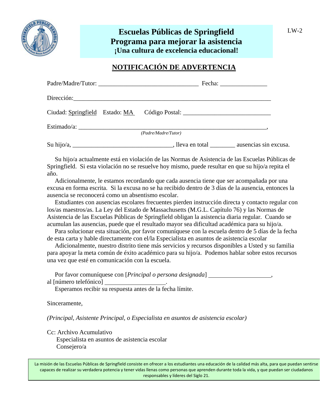![](_page_31_Picture_0.jpeg)

## **Escuelas Públicas de Springfield Programa para mejorar la asistencia ¡Una cultura de excelencia educacional!**

## **NOTIFICACIÓN DE ADVERTENCIA**

|            |                                                                                                                | Fecha: $\frac{1}{2}$  |
|------------|----------------------------------------------------------------------------------------------------------------|-----------------------|
|            | Dirección: 2008 - 2008 - 2010 - 2010 - 2010 - 2010 - 2010 - 2010 - 2010 - 2010 - 2010 - 2010 - 2010 - 2010 - 2 |                       |
|            | Ciudad: Springfield Estado: MA Código Postal: __________________________________                               |                       |
|            | (Padre/Madre/Tutor)                                                                                            |                       |
| Su hijo/a, | , lleva en total                                                                                               | ausencias sin excusa. |

 Su hijo/a actualmente está en violación de las Normas de Asistencia de las Escuelas Públicas de Springfield. Si esta violación no se resuelve hoy mismo, puede resultar en que su hijo/a repita el año.

 Adicionalmente, le estamos recordando que cada ausencia tiene que ser acompañada por una excusa en forma escrita. Si la excusa no se ha recibido dentro de 3 días de la ausencia, entonces la ausencia se reconocerá como un absentismo escolar.

 Estudiantes con ausencias escolares frecuentes pierden instrucción directa y contacto regular con los/as maestros/as. La Ley del Estado de Massachusetts (M.G.L. Capítulo 76) y las Normas de Asistencia de las Escuelas Públicas de Springfield obligan la asistencia diaria regular. Cuando se acumulan las ausencias, puede que el resultado mayor sea dificultad académica para su hijo/a.

 Para solucionar esta situación, por favor comuníquese con la escuela dentro de 5 días de la fecha de esta carta y hable directamente con el/la Especialista en asuntos de asistencia escolar

 Adicionalmente, nuestro distrito tiene más servicios y recursos disponibles a Usted y su familia para apoyar la meta común de éxito académico para su hijo/a. Podemos hablar sobre estos recursos una vez que esté en comunicación con la escuela.

 Por favor comuníquese con [*Principal o persona designada*] , al [número telefónico] .

Esperamos recibir su respuesta antes de la fecha límite.

Sinceramente,

*(Principal, Asistente Principal, o Especialista en asuntos de asistencia escolar)* 

Cc: Archivo Acumulativo

 Especialista en asuntos de asistencia escolar Consejero/a

La misión de las Escuelas Públicas de Springfield consiste en ofrecer a los estudiantes una educación de la calidad más alta, para que puedan sentirse capaces de realizar su verdadera potencia y tener vidas llenas como personas que aprenden durante toda la vida, y que puedan ser ciudadanos responsables y líderes del Siglo 21.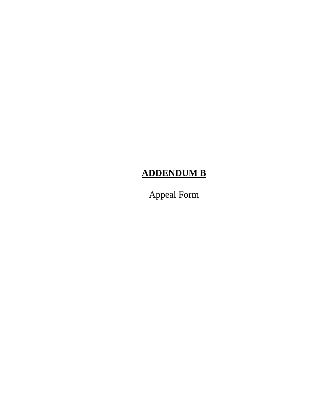## **ADDENDUM B**

Appeal Form